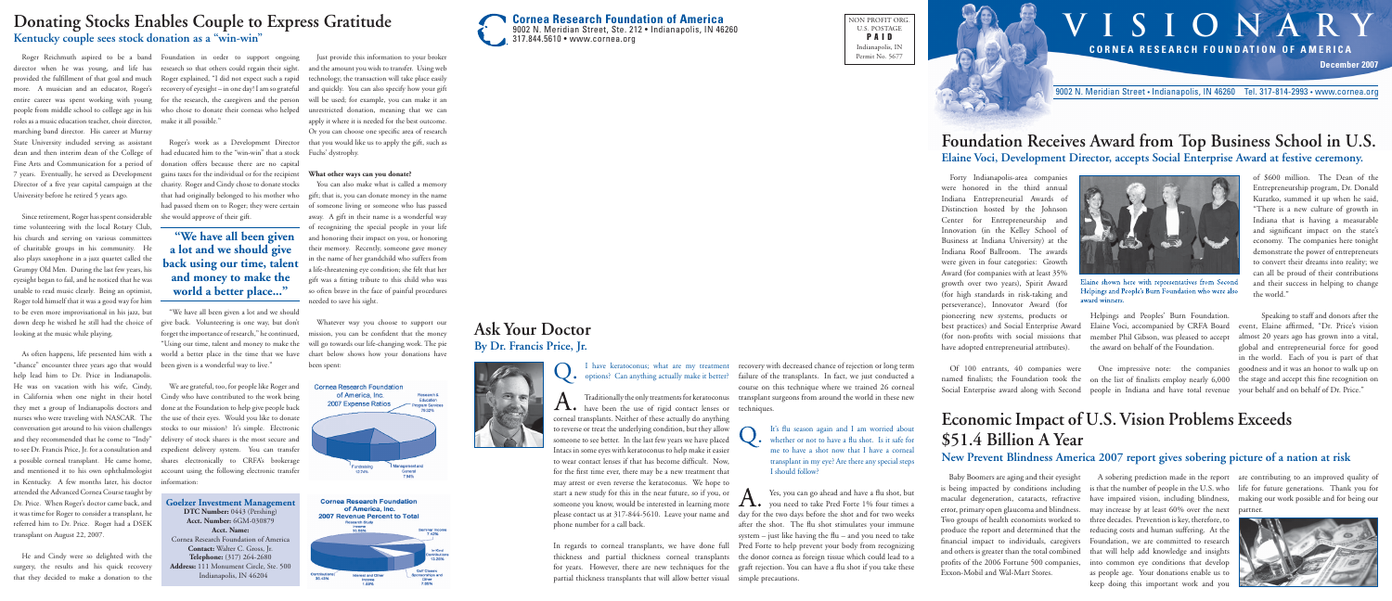

NON PROFIT ORG. U.S. POSTAGE PAID Indianapolis, IN Permit No. 5677

# **VISIONARY CORNEA RESEARCH FOUNDATION OF AMERICA December 2007**

9002 N. Meridian Street • Indianapolis, IN 46260 Tel. 317-814-2993 • www.cornea.org

named finalists; the Foundation took the on the list of finalists employ nearly 6,000 Social Enterprise award along with Second people in Indiana and have total revenue One impressive note: the companies

Forty Indianapolis-area companies were honored in the third annual Indiana Entrepreneurial Awards of Distinction hosted by the Johnson Center for Entrepreneurship and Innovation (in the Kelley School of Business at Indiana University) at the Indiana Roof Ballroom. The awards were given in four categories: Growth Award (for companies with at least 35% growth over two years), Spirit Award (for high standards in risk-taking and perseverance), Innovator Award (for pioneering new systems, products or best practices) and Social Enterprise Award (for non-profits with social missions that have adopted entrepreneurial attributes).

of \$600 million. The Dean of the Entrepreneurship program, Dr. Donald Kuratko, summed it up when he said, "There is a new culture of growth in Indiana that is having a measurable and significant impact on the state's economy. The companies here tonight demonstrate the power of entrepreneurs to convert their dreams into reality; we can all be proud of their contributions and their success in helping to change the world."

Of 100 entrants, 40 companies were



laine shown here with representatives from Second Helpings and People's Burn Foundation who were also award winners

Helpings and Peoples' Burn Foundation. Elaine Voci, accompanied by CRFA Board member Phil Gibson, was pleased to accept the award on behalf of the Foundation.

Speaking to staff and donors after the event, Elaine affirmed, "Dr. Price's vision almost 20 years ago has grown into a vital, global and entrepreneurial force for good in the world. Each of you is part of that goodness and it was an honor to walk up on the stage and accept this fine recognition on your behalf and on behalf of Dr. Price."

someone you know, would be interested in learning more please contact us at 317-844-5610. Leave your name and In regards to corneal transplants, we have done full Pred Forte to help prevent your body from recognizing thickness and partial thickness corneal transplants the donor cornea as foreign tissue which could lead to a for years. However, there are new techniques for the graft rejection. You can have a fl u shot if you take these partial thickness transplants that will allow better visual simple precautions. Yes, you can go ahead and have a flu shot, but  $\Lambda_{\bullet}$  you need to take Pred Forte 1% four times a day for the two days before the shot and for two weeks after the shot. The flu shot stimulates your immune system  $-$  just like having the flu  $-$  and you need to take

### **Foundation Receives Award from Top Business School in U.S. Elaine Voci, Development Director, accepts Social Enterprise Award at festive ceremony.**

# **Economic Impact of U.S. Vision Problems Exceeds \$51.4 Billion A Year**

### **New Prevent Blindness America 2007 report gives sobering picture of a nation at risk**

It's flu season again and I am worried about  $\bullet$  whether or not to have a flu shot. Is it safe for me to have a shot now that I have a corneal transplant in my eye? Are there any special steps I should follow?

Baby Boomers are aging and their eyesight is being impacted by conditions including is that the number of people in the U.S. who life for future generations. Thank you for macular degeneration, cataracts, refractive have impaired vision, including blindness, making our work possible and for being our error, primary open glaucoma and blindness. may increase by at least 60% over the next partner. Two groups of health economists worked to three decades. Prevention is key, therefore, to produce the report and determined that the financial impact to individuals, caregivers Foundation, we are committed to research and others is greater than the total combined that will help add knowledge and insights profits of the 2006 Fortune 500 companies, into common eye conditions that develop Exxon-Mobil and Wal-Mart Stores.

provided the fulfillment of that goal and much more. A musician and an educator, Roger's roles as a music education teacher, choir director, marching band director. His career at Murray State University included serving as assistant dean and then interim dean of the College of 7 years. Eventually, he served as Development Director of a five year capital campaign at the University before he retired 5 years ago.

> A sobering prediction made in the report are contributing to an improved quality of reducing costs and human suffering. At the as people age. Your donations enable us to keep doing this important work and you







have been the use of rigid contact lenses or techniques. corneal transplants. Neither of these actually do anything to reverse or treat the underlying condition, but they allow someone to see better. In the last few years we have placed Intacs in some eyes with keratoconus to help make it easier to wear contact lenses if that has become difficult. Now, for the first time ever, there may be a new treatment that may arrest or even reverse the keratoconus. We hope to start a new study for this in the near future, so if you, or phone number for a call back.

I have keratoconus; what are my treatment recovery with decreased chance of rejection or long term Traditionally the only treatments for keratoconus transplant surgeons from around the world in these new failure of the transplants. In fact, we just conducted a course on this technique where we trained 26 corneal

"We have all been given a lot and we should give back. Volunteering is one way, but don't forget the importance of research," he continued, "Using our time, talent and money to make the world a better place in the time that we have been given is a wonderful way to live."

# **Ask Your Doctor By Dr. Francis Price, Jr.**



Q. I have keratoconus; what are my treatment<br>options? Can anything actually make it better?

Since retirement, Roger has spent considerable time volunteering with the local Rotary Club, his church and serving on various committees of charitable groups in his community. He also plays saxophone in a jazz quartet called the Grumpy Old Men. During the last few years, his eyesight began to fail, and he noticed that he was unable to read music clearly. Being an optimist, Roger told himself that it was a good way for him to be even more improvisational in his jazz, but down deep he wished he still had the choice of looking at the music while playing.

Roger Reichmuth aspired to be a band Foundation in order to support ongoing director when he was young, and life has research so that others could regain their sight. entire career was spent working with young for the research, the caregivers and the person people from middle school to college age in his who chose to donate their corneas who helped Roger explained, "I did not expect such a rapid recovery of eyesight – in one day! I am so grateful make it all possible."

As often happens, life presented him with a "chance" encounter three years ago that would help lead him to Dr. Price in Indianapolis. He was on vacation with his wife, Cindy, in California when one night in their hotel they met a group of Indianapolis doctors and nurses who were traveling with NASCAR. The conversation got around to his vision challenges and they recommended that he come to "Indy" to see Dr. Francis Price, Jr. for a consultation and and mentioned it to his own ophthalmologist in Kentucky. A few months later, his doctor attended the Advanced Cornea Course taught by Dr. Price. When Roger's doctor came back, and it was time for Roger to consider a transplant, he referred him to Dr. Price. Roger had a DSEK transplant on August 22, 2007.

Fine Arts and Communication for a period of donation offers because there are no capital Roger's work as a Development Director had educated him to the "win-win" that a stock gains taxes for the individual or for the recipient charity. Roger and Cindy chose to donate stocks that had originally belonged to his mother who had passed them on to Roger; they were certain she would approve of their gift.

He and Cindy were so delighted with the surgery, the results and his quick recovery that they decided to make a donation to the

a possible corneal transplant. He came home, shares electronically to CRFA's brokerage We are grateful, too, for people like Roger and Cindy who have contributed to the work being done at the Foundation to help give people back the use of their eyes. Would you like to donate stocks to our mission? It's simple. Electronic delivery of stock shares is the most secure and expedient delivery system. You can transfer account using the following electronic transfer information:



### **What other ways can you donate?**

You can also make what is called a memory gift; that is, you can donate money in the name of someone living or someone who has passed away. A gift in their name is a wonderful way of recognizing the special people in your life and honoring their impact on you, or honoring their memory. Recently, someone gave money in the name of her grandchild who suffers from a life-threatening eye condition; she felt that her gift was a fitting tribute to this child who was so often brave in the face of painful procedures needed to save his sight.

Whatever way you choose to support our mission, you can be confident that the money will go towards our life-changing work. The pie chart below shows how your donations have been spent:





### **Donating Stocks Enables Couple to Express Gratitude Kentucky couple sees stock donation as a "win-win"**

**Goelzer Investment Management DTC Number:** 0443 (Pershing) **Acct. Number:** 6GM-030879 **Acct. Name:** Cornea Research Foundation of America **Contact:** Walter C. Gross, Jr. **Telephone:** (317) 264-2680 **Address:** 111 Monument Circle, Ste. 500 Indianapolis, IN 46204

### **"We have all been given a lot and we should give back using our time, talent and money to make the world a better place..."**